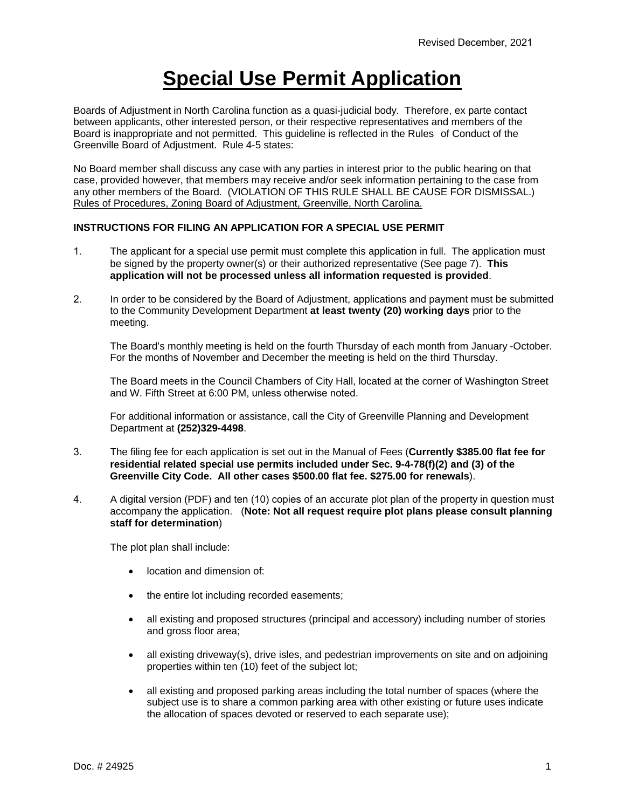## **Special Use Permit Application**

Boards of Adjustment in North Carolina function as a quasi-judicial body. Therefore, ex parte contact between applicants, other interested person, or their respective representatives and members of the Board is inappropriate and not permitted. This guideline is reflected in the Rules of Conduct of the Greenville Board of Adjustment. Rule 4-5 states:

No Board member shall discuss any case with any parties in interest prior to the public hearing on that case, provided however, that members may receive and/or seek information pertaining to the case from any other members of the Board. (VIOLATION OF THIS RULE SHALL BE CAUSE FOR DISMISSAL.) Rules of Procedures, Zoning Board of Adjustment, Greenville, North Carolina.

## **INSTRUCTIONS FOR FILING AN APPLICATION FOR A SPECIAL USE PERMIT**

- 1. The applicant for a special use permit must complete this application in full. The application must be signed by the property owner(s) or their authorized representative (See page 7). **This application will not be processed unless all information requested is provided**.
- 2. In order to be considered by the Board of Adjustment, applications and payment must be submitted to the Community Development Department **at least twenty (20) working days** prior to the meeting.

The Board's monthly meeting is held on the fourth Thursday of each month from January -October. For the months of November and December the meeting is held on the third Thursday.

The Board meets in the Council Chambers of City Hall, located at the corner of Washington Street and W. Fifth Street at 6:00 PM, unless otherwise noted.

For additional information or assistance, call the City of Greenville Planning and Development Department at **(252)329-4498**.

- 3. The filing fee for each application is set out in the Manual of Fees (**Currently \$385.00 flat fee for residential related special use permits included under Sec. 9-4-78(f)(2) and (3) of the Greenville City Code. All other cases \$500.00 flat fee. \$275.00 for renewals**).
- 4. A digital version (PDF) and ten (10) copies of an accurate plot plan of the property in question must accompany the application. (**Note: Not all request require plot plans please consult planning staff for determination**)

The plot plan shall include:

- location and dimension of:
- the entire lot including recorded easements;
- all existing and proposed structures (principal and accessory) including number of stories and gross floor area;
- all existing driveway(s), drive isles, and pedestrian improvements on site and on adjoining properties within ten (10) feet of the subject lot;
- all existing and proposed parking areas including the total number of spaces (where the subject use is to share a common parking area with other existing or future uses indicate the allocation of spaces devoted or reserved to each separate use);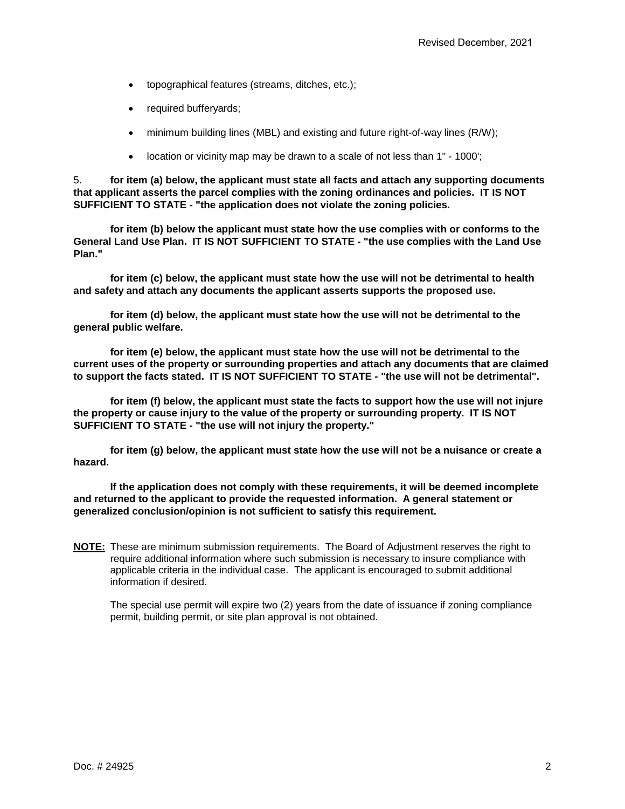- topographical features (streams, ditches, etc.);
- required bufferyards;
- minimum building lines (MBL) and existing and future right-of-way lines (R/W);
- location or vicinity map may be drawn to a scale of not less than 1" 1000';

5. **for item (a) below, the applicant must state all facts and attach any supporting documents that applicant asserts the parcel complies with the zoning ordinances and policies. IT IS NOT SUFFICIENT TO STATE - "the application does not violate the zoning policies.**

**for item (b) below the applicant must state how the use complies with or conforms to the General Land Use Plan. IT IS NOT SUFFICIENT TO STATE - "the use complies with the Land Use Plan."**

**for item (c) below, the applicant must state how the use will not be detrimental to health and safety and attach any documents the applicant asserts supports the proposed use.**

**for item (d) below, the applicant must state how the use will not be detrimental to the general public welfare.**

**for item (e) below, the applicant must state how the use will not be detrimental to the current uses of the property or surrounding properties and attach any documents that are claimed to support the facts stated. IT IS NOT SUFFICIENT TO STATE - "the use will not be detrimental".**

**for item (f) below, the applicant must state the facts to support how the use will not injure the property or cause injury to the value of the property or surrounding property. IT IS NOT SUFFICIENT TO STATE - "the use will not injury the property."**

**for item (g) below, the applicant must state how the use will not be a nuisance or create a hazard.**

**If the application does not comply with these requirements, it will be deemed incomplete and returned to the applicant to provide the requested information. A general statement or generalized conclusion/opinion is not sufficient to satisfy this requirement.** 

**NOTE:** These are minimum submission requirements. The Board of Adjustment reserves the right to require additional information where such submission is necessary to insure compliance with applicable criteria in the individual case. The applicant is encouraged to submit additional information if desired.

The special use permit will expire two (2) years from the date of issuance if zoning compliance permit, building permit, or site plan approval is not obtained.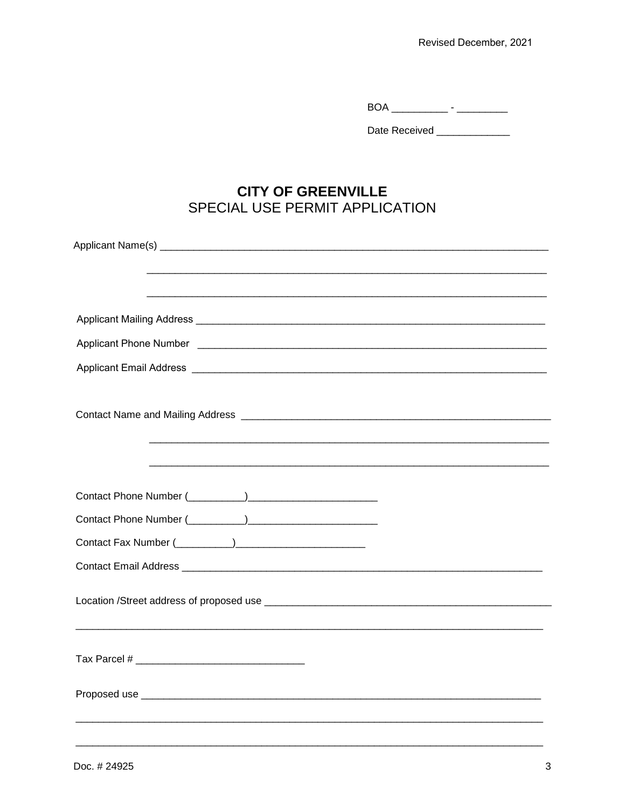Date Received \_\_\_\_\_\_\_\_\_\_\_\_\_\_

## **CITY OF GREENVILLE** SPECIAL USE PERMIT APPLICATION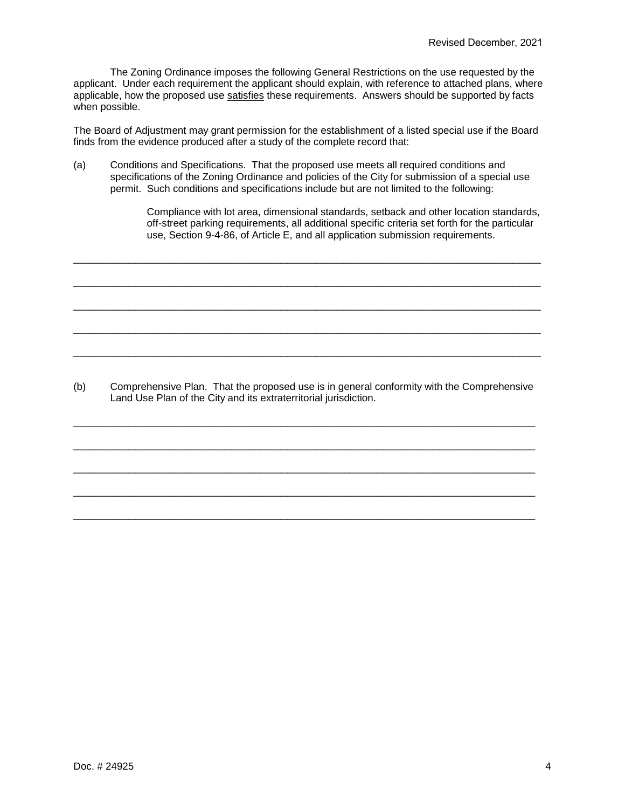The Zoning Ordinance imposes the following General Restrictions on the use requested by the applicant. Under each requirement the applicant should explain, with reference to attached plans, where applicable, how the proposed use satisfies these requirements. Answers should be supported by facts when possible.

The Board of Adjustment may grant permission for the establishment of a listed special use if the Board finds from the evidence produced after a study of the complete record that:

(a) Conditions and Specifications. That the proposed use meets all required conditions and specifications of the Zoning Ordinance and policies of the City for submission of a special use permit. Such conditions and specifications include but are not limited to the following:

\_\_\_\_\_\_\_\_\_\_\_\_\_\_\_\_\_\_\_\_\_\_\_\_\_\_\_\_\_\_\_\_\_\_\_\_\_\_\_\_\_\_\_\_\_\_\_\_\_\_\_\_\_\_\_\_\_\_\_\_\_\_\_\_\_\_\_\_\_\_\_\_\_\_\_\_\_\_\_\_\_\_\_

\_\_\_\_\_\_\_\_\_\_\_\_\_\_\_\_\_\_\_\_\_\_\_\_\_\_\_\_\_\_\_\_\_\_\_\_\_\_\_\_\_\_\_\_\_\_\_\_\_\_\_\_\_\_\_\_\_\_\_\_\_\_\_\_\_\_\_\_\_\_\_\_\_\_\_\_\_\_\_\_\_\_\_

\_\_\_\_\_\_\_\_\_\_\_\_\_\_\_\_\_\_\_\_\_\_\_\_\_\_\_\_\_\_\_\_\_\_\_\_\_\_\_\_\_\_\_\_\_\_\_\_\_\_\_\_\_\_\_\_\_\_\_\_\_\_\_\_\_\_\_\_\_\_\_\_\_\_\_\_\_\_\_\_\_\_\_

\_\_\_\_\_\_\_\_\_\_\_\_\_\_\_\_\_\_\_\_\_\_\_\_\_\_\_\_\_\_\_\_\_\_\_\_\_\_\_\_\_\_\_\_\_\_\_\_\_\_\_\_\_\_\_\_\_\_\_\_\_\_\_\_\_\_\_\_\_\_\_\_\_\_\_\_\_\_\_\_\_\_\_

\_\_\_\_\_\_\_\_\_\_\_\_\_\_\_\_\_\_\_\_\_\_\_\_\_\_\_\_\_\_\_\_\_\_\_\_\_\_\_\_\_\_\_\_\_\_\_\_\_\_\_\_\_\_\_\_\_\_\_\_\_\_\_\_\_\_\_\_\_\_\_\_\_\_\_\_\_\_\_\_\_\_\_

Compliance with lot area, dimensional standards, setback and other location standards, off-street parking requirements, all additional specific criteria set forth for the particular use, Section 9-4-86, of Article E, and all application submission requirements.

(b) Comprehensive Plan. That the proposed use is in general conformity with the Comprehensive Land Use Plan of the City and its extraterritorial jurisdiction.

\_\_\_\_\_\_\_\_\_\_\_\_\_\_\_\_\_\_\_\_\_\_\_\_\_\_\_\_\_\_\_\_\_\_\_\_\_\_\_\_\_\_\_\_\_\_\_\_\_\_\_\_\_\_\_\_\_\_\_\_\_\_\_\_\_\_\_\_\_\_\_\_\_\_\_\_\_\_\_\_\_\_

\_\_\_\_\_\_\_\_\_\_\_\_\_\_\_\_\_\_\_\_\_\_\_\_\_\_\_\_\_\_\_\_\_\_\_\_\_\_\_\_\_\_\_\_\_\_\_\_\_\_\_\_\_\_\_\_\_\_\_\_\_\_\_\_\_\_\_\_\_\_\_\_\_\_\_\_\_\_\_\_\_\_

\_\_\_\_\_\_\_\_\_\_\_\_\_\_\_\_\_\_\_\_\_\_\_\_\_\_\_\_\_\_\_\_\_\_\_\_\_\_\_\_\_\_\_\_\_\_\_\_\_\_\_\_\_\_\_\_\_\_\_\_\_\_\_\_\_\_\_\_\_\_\_\_\_\_\_\_\_\_\_\_\_\_

\_\_\_\_\_\_\_\_\_\_\_\_\_\_\_\_\_\_\_\_\_\_\_\_\_\_\_\_\_\_\_\_\_\_\_\_\_\_\_\_\_\_\_\_\_\_\_\_\_\_\_\_\_\_\_\_\_\_\_\_\_\_\_\_\_\_\_\_\_\_\_\_\_\_\_\_\_\_\_\_\_\_

\_\_\_\_\_\_\_\_\_\_\_\_\_\_\_\_\_\_\_\_\_\_\_\_\_\_\_\_\_\_\_\_\_\_\_\_\_\_\_\_\_\_\_\_\_\_\_\_\_\_\_\_\_\_\_\_\_\_\_\_\_\_\_\_\_\_\_\_\_\_\_\_\_\_\_\_\_\_\_\_\_\_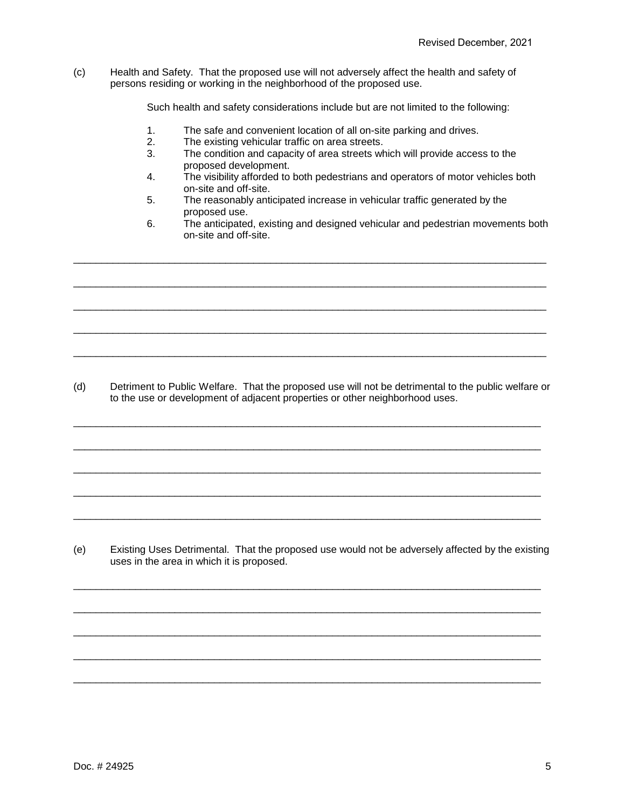(c) Health and Safety. That the proposed use will not adversely affect the health and safety of persons residing or working in the neighborhood of the proposed use.

Such health and safety considerations include but are not limited to the following:

- 1. The safe and convenient location of all on-site parking and drives.
- 2. The existing vehicular traffic on area streets.<br>3. The condition and capacity of area streets wh
- The condition and capacity of area streets which will provide access to the proposed development.
- 4. The visibility afforded to both pedestrians and operators of motor vehicles both on-site and off-site.
- 5. The reasonably anticipated increase in vehicular traffic generated by the proposed use.

\_\_\_\_\_\_\_\_\_\_\_\_\_\_\_\_\_\_\_\_\_\_\_\_\_\_\_\_\_\_\_\_\_\_\_\_\_\_\_\_\_\_\_\_\_\_\_\_\_\_\_\_\_\_\_\_\_\_\_\_\_\_\_\_\_\_\_\_\_\_\_\_\_\_\_\_\_\_\_\_\_\_\_\_

\_\_\_\_\_\_\_\_\_\_\_\_\_\_\_\_\_\_\_\_\_\_\_\_\_\_\_\_\_\_\_\_\_\_\_\_\_\_\_\_\_\_\_\_\_\_\_\_\_\_\_\_\_\_\_\_\_\_\_\_\_\_\_\_\_\_\_\_\_\_\_\_\_\_\_\_\_\_\_\_\_\_\_\_

\_\_\_\_\_\_\_\_\_\_\_\_\_\_\_\_\_\_\_\_\_\_\_\_\_\_\_\_\_\_\_\_\_\_\_\_\_\_\_\_\_\_\_\_\_\_\_\_\_\_\_\_\_\_\_\_\_\_\_\_\_\_\_\_\_\_\_\_\_\_\_\_\_\_\_\_\_\_\_\_\_\_\_\_

\_\_\_\_\_\_\_\_\_\_\_\_\_\_\_\_\_\_\_\_\_\_\_\_\_\_\_\_\_\_\_\_\_\_\_\_\_\_\_\_\_\_\_\_\_\_\_\_\_\_\_\_\_\_\_\_\_\_\_\_\_\_\_\_\_\_\_\_\_\_\_\_\_\_\_\_\_\_\_\_\_\_\_\_

\_\_\_\_\_\_\_\_\_\_\_\_\_\_\_\_\_\_\_\_\_\_\_\_\_\_\_\_\_\_\_\_\_\_\_\_\_\_\_\_\_\_\_\_\_\_\_\_\_\_\_\_\_\_\_\_\_\_\_\_\_\_\_\_\_\_\_\_\_\_\_\_\_\_\_\_\_\_\_\_\_\_\_\_

6. The anticipated, existing and designed vehicular and pedestrian movements both on-site and off-site.

(d) Detriment to Public Welfare. That the proposed use will not be detrimental to the public welfare or to the use or development of adjacent properties or other neighborhood uses.

\_\_\_\_\_\_\_\_\_\_\_\_\_\_\_\_\_\_\_\_\_\_\_\_\_\_\_\_\_\_\_\_\_\_\_\_\_\_\_\_\_\_\_\_\_\_\_\_\_\_\_\_\_\_\_\_\_\_\_\_\_\_\_\_\_\_\_\_\_\_\_\_\_\_\_\_\_\_\_\_\_\_\_

\_\_\_\_\_\_\_\_\_\_\_\_\_\_\_\_\_\_\_\_\_\_\_\_\_\_\_\_\_\_\_\_\_\_\_\_\_\_\_\_\_\_\_\_\_\_\_\_\_\_\_\_\_\_\_\_\_\_\_\_\_\_\_\_\_\_\_\_\_\_\_\_\_\_\_\_\_\_\_\_\_\_\_

\_\_\_\_\_\_\_\_\_\_\_\_\_\_\_\_\_\_\_\_\_\_\_\_\_\_\_\_\_\_\_\_\_\_\_\_\_\_\_\_\_\_\_\_\_\_\_\_\_\_\_\_\_\_\_\_\_\_\_\_\_\_\_\_\_\_\_\_\_\_\_\_\_\_\_\_\_\_\_\_\_\_\_

\_\_\_\_\_\_\_\_\_\_\_\_\_\_\_\_\_\_\_\_\_\_\_\_\_\_\_\_\_\_\_\_\_\_\_\_\_\_\_\_\_\_\_\_\_\_\_\_\_\_\_\_\_\_\_\_\_\_\_\_\_\_\_\_\_\_\_\_\_\_\_\_\_\_\_\_\_\_\_\_\_\_\_

\_\_\_\_\_\_\_\_\_\_\_\_\_\_\_\_\_\_\_\_\_\_\_\_\_\_\_\_\_\_\_\_\_\_\_\_\_\_\_\_\_\_\_\_\_\_\_\_\_\_\_\_\_\_\_\_\_\_\_\_\_\_\_\_\_\_\_\_\_\_\_\_\_\_\_\_\_\_\_\_\_\_\_

(e) Existing Uses Detrimental. That the proposed use would not be adversely affected by the existing uses in the area in which it is proposed.

\_\_\_\_\_\_\_\_\_\_\_\_\_\_\_\_\_\_\_\_\_\_\_\_\_\_\_\_\_\_\_\_\_\_\_\_\_\_\_\_\_\_\_\_\_\_\_\_\_\_\_\_\_\_\_\_\_\_\_\_\_\_\_\_\_\_\_\_\_\_\_\_\_\_\_\_\_\_\_\_\_\_\_

\_\_\_\_\_\_\_\_\_\_\_\_\_\_\_\_\_\_\_\_\_\_\_\_\_\_\_\_\_\_\_\_\_\_\_\_\_\_\_\_\_\_\_\_\_\_\_\_\_\_\_\_\_\_\_\_\_\_\_\_\_\_\_\_\_\_\_\_\_\_\_\_\_\_\_\_\_\_\_\_\_\_\_

\_\_\_\_\_\_\_\_\_\_\_\_\_\_\_\_\_\_\_\_\_\_\_\_\_\_\_\_\_\_\_\_\_\_\_\_\_\_\_\_\_\_\_\_\_\_\_\_\_\_\_\_\_\_\_\_\_\_\_\_\_\_\_\_\_\_\_\_\_\_\_\_\_\_\_\_\_\_\_\_\_\_\_

\_\_\_\_\_\_\_\_\_\_\_\_\_\_\_\_\_\_\_\_\_\_\_\_\_\_\_\_\_\_\_\_\_\_\_\_\_\_\_\_\_\_\_\_\_\_\_\_\_\_\_\_\_\_\_\_\_\_\_\_\_\_\_\_\_\_\_\_\_\_\_\_\_\_\_\_\_\_\_\_\_\_\_

\_\_\_\_\_\_\_\_\_\_\_\_\_\_\_\_\_\_\_\_\_\_\_\_\_\_\_\_\_\_\_\_\_\_\_\_\_\_\_\_\_\_\_\_\_\_\_\_\_\_\_\_\_\_\_\_\_\_\_\_\_\_\_\_\_\_\_\_\_\_\_\_\_\_\_\_\_\_\_\_\_\_\_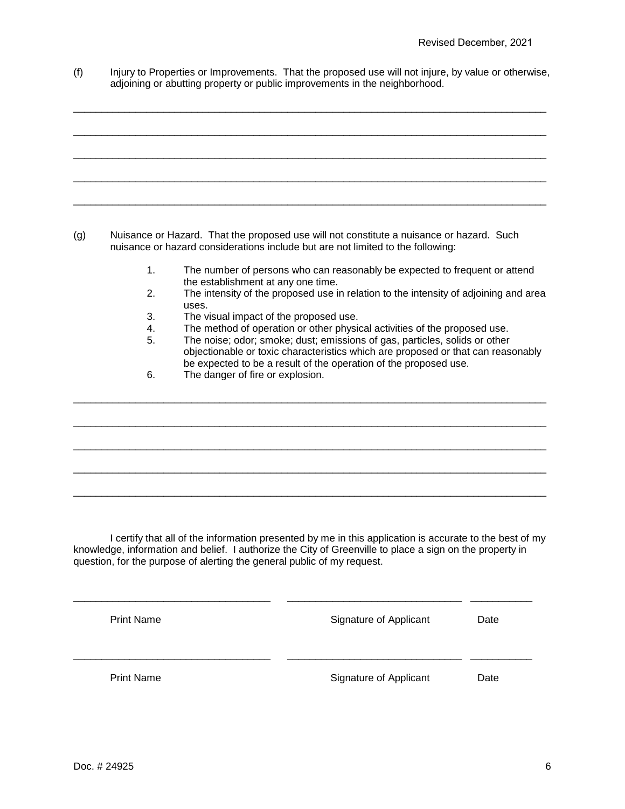(f) Injury to Properties or Improvements. That the proposed use will not injure, by value or otherwise, adjoining or abutting property or public improvements in the neighborhood.

\_\_\_\_\_\_\_\_\_\_\_\_\_\_\_\_\_\_\_\_\_\_\_\_\_\_\_\_\_\_\_\_\_\_\_\_\_\_\_\_\_\_\_\_\_\_\_\_\_\_\_\_\_\_\_\_\_\_\_\_\_\_\_\_\_\_\_\_\_\_\_\_\_\_\_\_\_\_\_\_\_\_\_\_

\_\_\_\_\_\_\_\_\_\_\_\_\_\_\_\_\_\_\_\_\_\_\_\_\_\_\_\_\_\_\_\_\_\_\_\_\_\_\_\_\_\_\_\_\_\_\_\_\_\_\_\_\_\_\_\_\_\_\_\_\_\_\_\_\_\_\_\_\_\_\_\_\_\_\_\_\_\_\_\_\_\_\_\_

\_\_\_\_\_\_\_\_\_\_\_\_\_\_\_\_\_\_\_\_\_\_\_\_\_\_\_\_\_\_\_\_\_\_\_\_\_\_\_\_\_\_\_\_\_\_\_\_\_\_\_\_\_\_\_\_\_\_\_\_\_\_\_\_\_\_\_\_\_\_\_\_\_\_\_\_\_\_\_\_\_\_\_\_

\_\_\_\_\_\_\_\_\_\_\_\_\_\_\_\_\_\_\_\_\_\_\_\_\_\_\_\_\_\_\_\_\_\_\_\_\_\_\_\_\_\_\_\_\_\_\_\_\_\_\_\_\_\_\_\_\_\_\_\_\_\_\_\_\_\_\_\_\_\_\_\_\_\_\_\_\_\_\_\_\_\_\_\_

\_\_\_\_\_\_\_\_\_\_\_\_\_\_\_\_\_\_\_\_\_\_\_\_\_\_\_\_\_\_\_\_\_\_\_\_\_\_\_\_\_\_\_\_\_\_\_\_\_\_\_\_\_\_\_\_\_\_\_\_\_\_\_\_\_\_\_\_\_\_\_\_\_\_\_\_\_\_\_\_\_\_\_\_

(g) Nuisance or Hazard. That the proposed use will not constitute a nuisance or hazard. Such nuisance or hazard considerations include but are not limited to the following:

- 1. The number of persons who can reasonably be expected to frequent or attend the establishment at any one time.
- 2. The intensity of the proposed use in relation to the intensity of adjoining and area uses.
- 3. The visual impact of the proposed use.<br>4. The method of operation or other physic
- 4. The method of operation or other physical activities of the proposed use.<br>5. The noise: odor: smoke: dust: emissions of gas. particles. solids or other

\_\_\_\_\_\_\_\_\_\_\_\_\_\_\_\_\_\_\_\_\_\_\_\_\_\_\_\_\_\_\_\_\_\_\_\_\_\_\_\_\_\_\_\_\_\_\_\_\_\_\_\_\_\_\_\_\_\_\_\_\_\_\_\_\_\_\_\_\_\_\_\_\_\_\_\_\_\_\_\_\_\_\_\_

\_\_\_\_\_\_\_\_\_\_\_\_\_\_\_\_\_\_\_\_\_\_\_\_\_\_\_\_\_\_\_\_\_\_\_\_\_\_\_\_\_\_\_\_\_\_\_\_\_\_\_\_\_\_\_\_\_\_\_\_\_\_\_\_\_\_\_\_\_\_\_\_\_\_\_\_\_\_\_\_\_\_\_\_

\_\_\_\_\_\_\_\_\_\_\_\_\_\_\_\_\_\_\_\_\_\_\_\_\_\_\_\_\_\_\_\_\_\_\_\_\_\_\_\_\_\_\_\_\_\_\_\_\_\_\_\_\_\_\_\_\_\_\_\_\_\_\_\_\_\_\_\_\_\_\_\_\_\_\_\_\_\_\_\_\_\_\_\_

\_\_\_\_\_\_\_\_\_\_\_\_\_\_\_\_\_\_\_\_\_\_\_\_\_\_\_\_\_\_\_\_\_\_\_\_\_\_\_\_\_\_\_\_\_\_\_\_\_\_\_\_\_\_\_\_\_\_\_\_\_\_\_\_\_\_\_\_\_\_\_\_\_\_\_\_\_\_\_\_\_\_\_\_

\_\_\_\_\_\_\_\_\_\_\_\_\_\_\_\_\_\_\_\_\_\_\_\_\_\_\_\_\_\_\_\_\_\_\_\_\_\_\_\_\_\_\_\_\_\_\_\_\_\_\_\_\_\_\_\_\_\_\_\_\_\_\_\_\_\_\_\_\_\_\_\_\_\_\_\_\_\_\_\_\_\_\_\_

- The noise; odor; smoke; dust; emissions of gas, particles, solids or other objectionable or toxic characteristics which are proposed or that can reasonably be expected to be a result of the operation of the proposed use.
- 6. The danger of fire or explosion.

I certify that all of the information presented by me in this application is accurate to the best of my knowledge, information and belief. I authorize the City of Greenville to place a sign on the property in question, for the purpose of alerting the general public of my request.

| <b>Print Name</b> | Signature of Applicant | Date |
|-------------------|------------------------|------|
| <b>Print Name</b> | Signature of Applicant | Date |